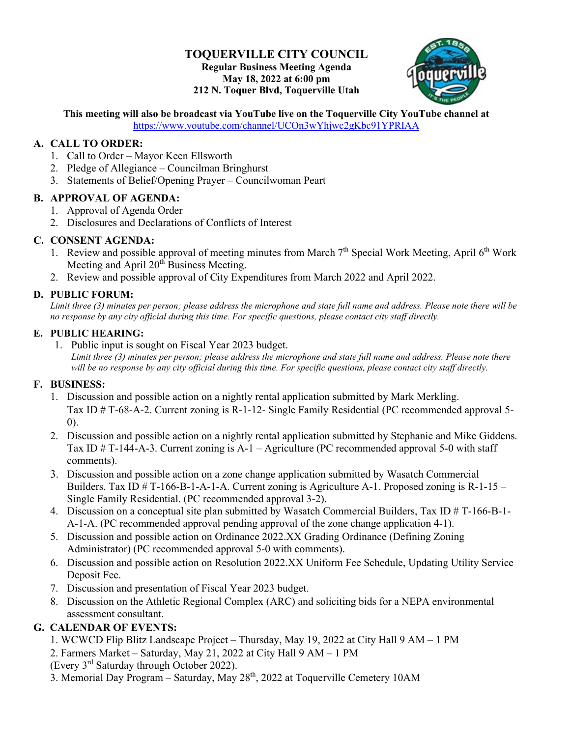#### **TOQUERVILLE CITY COUNCIL Regular Business Meeting Agenda May 18, 2022 at 6:00 pm 212 N. Toquer Blvd, Toquerville Utah**



# **This meeting will also be broadcast via YouTube live on the Toquerville City YouTube channel at**

<https://www.youtube.com/channel/UCOn3wYhjwc2gKbc91YPRIAA>

## **A. CALL TO ORDER:**

- 1. Call to Order Mayor Keen Ellsworth
- 2. Pledge of Allegiance Councilman Bringhurst
- 3. Statements of Belief/Opening Prayer Councilwoman Peart

#### **B. APPROVAL OF AGENDA:**

- 1. Approval of Agenda Order
- 2. Disclosures and Declarations of Conflicts of Interest

## **C. CONSENT AGENDA:**

- 1. Review and possible approval of meeting minutes from March  $7<sup>th</sup>$  Special Work Meeting, April 6<sup>th</sup> Work Meeting and April 20<sup>th</sup> Business Meeting.
- 2. Review and possible approval of City Expenditures from March 2022 and April 2022.

## **D. PUBLIC FORUM:**

*Limit three (3) minutes per person; please address the microphone and state full name and address. Please note there will be no response by any city official during this time. For specific questions, please contact city staff directly.*

#### **E. PUBLIC HEARING:**

1. Public input is sought on Fiscal Year 2023 budget. *Limit three (3) minutes per person; please address the microphone and state full name and address. Please note there will be no response by any city official during this time. For specific questions, please contact city staff directly.*

## **F. BUSINESS:**

- 1. Discussion and possible action on a nightly rental application submitted by Mark Merkling. Tax ID # T-68-A-2. Current zoning is R-1-12- Single Family Residential (PC recommended approval 5- 0).
- 2. Discussion and possible action on a nightly rental application submitted by Stephanie and Mike Giddens. Tax ID # T-144-A-3. Current zoning is  $A-1$  – Agriculture (PC recommended approval 5-0 with staff comments).
- 3. Discussion and possible action on a zone change application submitted by Wasatch Commercial Builders. Tax ID  $\#$  T-166-B-1-A-1-A. Current zoning is Agriculture A-1. Proposed zoning is R-1-15 – Single Family Residential. (PC recommended approval 3-2).
- 4. Discussion on a conceptual site plan submitted by Wasatch Commercial Builders, Tax ID # T-166-B-1- A-1-A. (PC recommended approval pending approval of the zone change application 4-1).
- 5. Discussion and possible action on Ordinance 2022.XX Grading Ordinance (Defining Zoning Administrator) (PC recommended approval 5-0 with comments).
- 6. Discussion and possible action on Resolution 2022.XX Uniform Fee Schedule, Updating Utility Service Deposit Fee.
- 7. Discussion and presentation of Fiscal Year 2023 budget.
- 8. Discussion on the Athletic Regional Complex (ARC) and soliciting bids for a NEPA environmental assessment consultant.

## **G. CALENDAR OF EVENTS:**

- 1. WCWCD Flip Blitz Landscape Project Thursday, May 19, 2022 at City Hall 9 AM 1 PM
- 2. Farmers Market Saturday, May 21, 2022 at City Hall 9 AM 1 PM
- (Every 3rd Saturday through October 2022).
- 3. Memorial Day Program Saturday, May  $28<sup>th</sup>$ , 2022 at Toquerville Cemetery 10AM